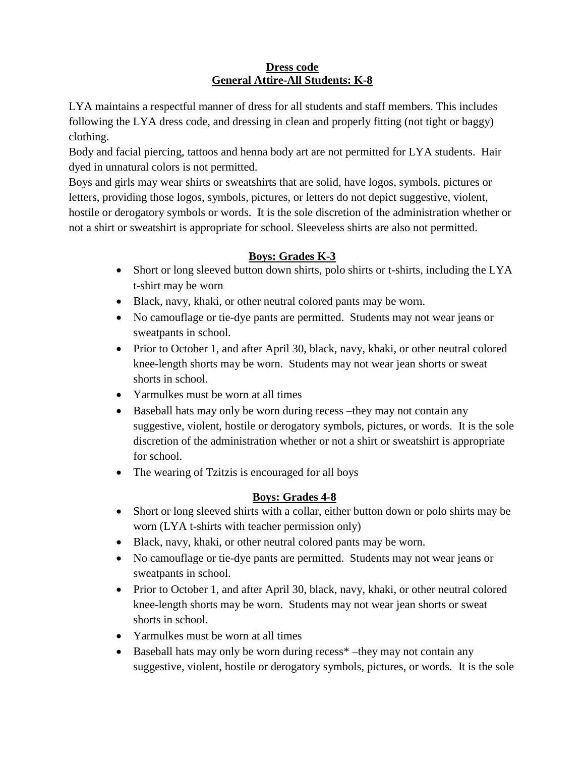#### **Dress code General Attire-All Students: K-8**

LYA maintains a respectful manner of dress for all students and staff members. This includes following the LYA dress code, and dressing in clean and properly fitting (not tight or baggy) clothing.

Body and facial piercing, tattoos and henna body art are not permitted for LYA students. Hair dyed in unnatural colors is not permitted.

Boys and girls may wear shirts or sweatshirts that are solid, have logos, symbols, pictures or letters, providing those logos, symbols, pictures, or letters do not depict suggestive, violent, hostile or derogatory symbols or words. It is the sole discretion of the administration whether or not a shirt or sweatshirt is appropriate for school. Sleeveless shirts are also not permitted.

## **Boys: Grades K-3**

- Short or long sleeved button down shirts, polo shirts or t-shirts, including the LYA t-shirt may be worn
- Black, navy, khaki, or other neutral colored pants may be worn.
- No camouflage or tie-dye pants are permitted. Students may not wear jeans or sweatpants in school.
- Prior to October 1, and after April 30, black, navy, khaki, or other neutral colored knee-length shorts may be worn. Students may not wear jean shorts or sweat shorts in school.
- Yarmulkes must be worn at all times
- Baseball hats may only be worn during recess –they may not contain any suggestive, violent, hostile or derogatory symbols, pictures, or words. It is the sole discretion of the administration whether or not a shirt or sweatshirt is appropriate for school.
- The wearing of Tzitzis is encouraged for all boys

# **Boys: Grades 4-8**

- Short or long sleeved shirts with a collar, either button down or polo shirts may be worn (LYA t-shirts with teacher permission only)
- Black, navy, khaki, or other neutral colored pants may be worn.
- No camouflage or tie-dye pants are permitted. Students may not wear jeans or sweatpants in school.
- Prior to October 1, and after April 30, black, navy, khaki, or other neutral colored knee-length shorts may be worn. Students may not wear jean shorts or sweat shorts in school.
- Yarmulkes must be worn at all times
- Baseball hats may only be worn during recess\* –they may not contain any suggestive, violent, hostile or derogatory symbols, pictures, or words. It is the sole